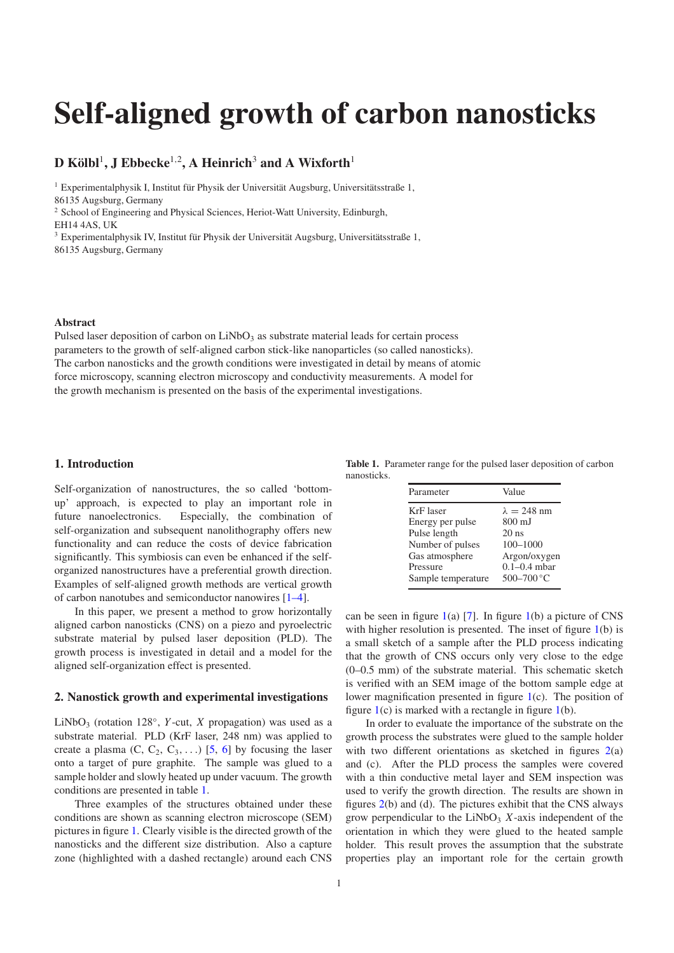# **Self-aligned growth of carbon nanosticks**

# ${\bf D}$   ${\bf K}$ ölbl $^1$ ,  ${\bf J}$   ${\bf E}$ bbecke $^{1,2}$ ,  ${\bf A}$   ${\bf Heinrich}^3$  and  ${\bf A}$   ${\bf Wixforth}^1$

<sup>1</sup> Experimentalphysik I, Institut für Physik der Universität Augsburg, Universitätsstraße 1, 86135 Augsburg, Germany

<sup>2</sup> School of Engineering and Physical Sciences, Heriot-Watt University, Edinburgh,

EH14 4AS, UK

<sup>3</sup> Experimentalphysik IV, Institut für Physik der Universität Augsburg, Universitätsstraße 1, 86135 Augsburg, Germany

#### **Abstract**

Pulsed laser deposition of carbon on  $LiNbO<sub>3</sub>$  as substrate material leads for certain process parameters to the growth of self-aligned carbon stick-like nanoparticles (so called nanosticks). The carbon nanosticks and the growth conditions were investigated in detail by means of atomic force microscopy, scanning electron microscopy and conductivity measurements. A model for the growth mechanism is presented on the basis of the experimental investigations.

## **1. Introduction**

Self-organization of nanostructures, the so called 'bottomup' approach, is expected to play an important role in future nanoelectronics. Especially, the combination of self-organization and subsequent nanolithography offers new functionality and can reduce the costs of device fabrication significantly. This symbiosis can even be enhanced if the selforganized nanostructures have a preferential growth direction. Examples of self-aligned growth methods are vertical growth of carbon nanotubes and semiconductor nanowires [\[1–4\]](#page-4-0).

In this paper, we present a method to grow horizontally aligned carbon nanosticks (CNS) on a piezo and pyroelectric substrate material by pulsed laser deposition (PLD). The growth process is investigated in detail and a model for the aligned self-organization effect is presented.

#### **2. Nanostick growth and experimental investigations**

LiNbO<sub>3</sub> (rotation 128°, *Y*-cut, *X* propagation) was used as a substrate material. PLD (KrF laser, 248 nm) was applied to create a plasma  $(C, C_2, C_3, ...)$  [\[5,](#page-4-1) [6\]](#page-4-2) by focusing the laser onto a target of pure graphite. The sample was glued to a sample holder and slowly heated up under vacuum. The growth conditions are presented in table [1.](#page-0-0)

Three examples of the structures obtained under these conditions are shown as scanning electron microscope (SEM) pictures in figure [1.](#page-1-0) Clearly visible is the directed growth of the nanosticks and the different size distribution. Also a capture zone (highlighted with a dashed rectangle) around each CNS

<span id="page-0-0"></span>**Table 1.** Parameter range for the pulsed laser deposition of carbon nanosticks.

| Parameter          | Value              |
|--------------------|--------------------|
| KrF laser          | $\lambda = 248$ nm |
| Energy per pulse   | 800 mJ             |
| Pulse length       | $20$ ns            |
| Number of pulses   | $100 - 1000$       |
| Gas atmosphere     | Argon/oxygen       |
| Pressure           | $0.1 - 0.4$ mbar   |
| Sample temperature | $500 - 700$ °C     |
|                    |                    |

can be seen in figure  $1(a)$  $1(a)$  [\[7\]](#page-4-3). In figure  $1(b)$  a picture of CNS with higher resolution is presented. The inset of figure [1\(](#page-1-0)b) is a small sketch of a sample after the PLD process indicating that the growth of CNS occurs only very close to the edge (0–0.5 mm) of the substrate material. This schematic sketch is verified with an SEM image of the bottom sample edge at lower magnification presented in figure [1\(](#page-1-0)c). The position of figure  $1(c)$  $1(c)$  is marked with a rectangle in figure  $1(b)$ .

In order to evaluate the importance of the substrate on the growth process the substrates were glued to the sample holder with two different orientations as sketched in figures  $2(a)$  $2(a)$ and (c). After the PLD process the samples were covered with a thin conductive metal layer and SEM inspection was used to verify the growth direction. The results are shown in figures [2\(](#page-2-0)b) and (d). The pictures exhibit that the CNS always grow perpendicular to the  $LiNbO<sub>3</sub>$  *X*-axis independent of the orientation in which they were glued to the heated sample holder. This result proves the assumption that the substrate properties play an important role for the certain growth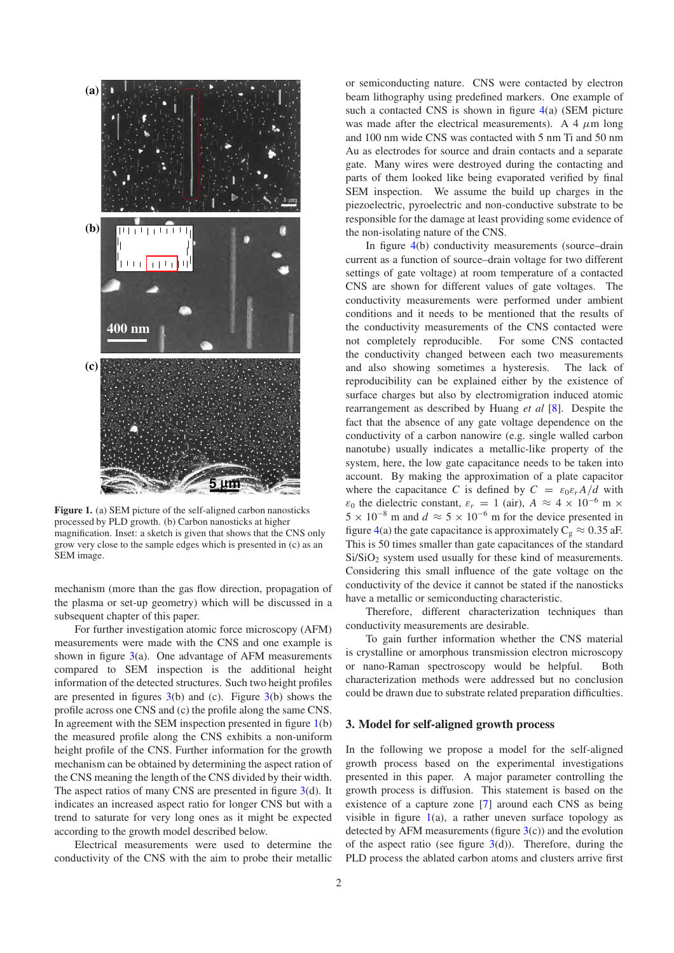<span id="page-1-0"></span>

**Figure 1.** (a) SEM picture of the self-aligned carbon nanosticks processed by PLD growth. (b) Carbon nanosticks at higher magnification. Inset: a sketch is given that shows that the CNS only grow very close to the sample edges which is presented in (c) as an SEM image.

mechanism (more than the gas flow direction, propagation of the plasma or set-up geometry) which will be discussed in a subsequent chapter of this paper.

For further investigation atomic force microscopy (AFM) measurements were made with the CNS and one example is shown in figure  $3(a)$  $3(a)$ . One advantage of AFM measurements compared to SEM inspection is the additional height information of the detected structures. Such two height profiles are presented in figures  $3(b)$  $3(b)$  and (c). Figure  $3(b)$  shows the profile across one CNS and (c) the profile along the same CNS. In agreement with the SEM inspection presented in figure  $1(b)$  $1(b)$ the measured profile along the CNS exhibits a non-uniform height profile of the CNS. Further information for the growth mechanism can be obtained by determining the aspect ration of the CNS meaning the length of the CNS divided by their width. The aspect ratios of many CNS are presented in figure [3\(](#page-2-1)d). It indicates an increased aspect ratio for longer CNS but with a trend to saturate for very long ones as it might be expected according to the growth model described below.

Electrical measurements were used to determine the conductivity of the CNS with the aim to probe their metallic or semiconducting nature. CNS were contacted by electron beam lithography using predefined markers. One example of such a contacted CNS is shown in figure [4\(](#page-3-0)a) (SEM picture was made after the electrical measurements). A 4  $\mu$ m long and 100 nm wide CNS was contacted with 5 nm Ti and 50 nm Au as electrodes for source and drain contacts and a separate gate. Many wires were destroyed during the contacting and parts of them looked like being evaporated verified by final SEM inspection. We assume the build up charges in the piezoelectric, pyroelectric and non-conductive substrate to be responsible for the damage at least providing some evidence of the non-isolating nature of the CNS.

In figure [4\(](#page-3-0)b) conductivity measurements (source–drain current as a function of source–drain voltage for two different settings of gate voltage) at room temperature of a contacted CNS are shown for different values of gate voltages. The conductivity measurements were performed under ambient conditions and it needs to be mentioned that the results of the conductivity measurements of the CNS contacted were not completely reproducible. For some CNS contacted the conductivity changed between each two measurements and also showing sometimes a hysteresis. The lack of reproducibility can be explained either by the existence of surface charges but also by electromigration induced atomic rearrangement as described by Huang *et al* [\[8\]](#page-4-4). Despite the fact that the absence of any gate voltage dependence on the conductivity of a carbon nanowire (e.g. single walled carbon nanotube) usually indicates a metallic-like property of the system, here, the low gate capacitance needs to be taken into account. By making the approximation of a plate capacitor where the capacitance *C* is defined by  $C = \varepsilon_0 \varepsilon_r A/d$  with  $\varepsilon_0$  the dielectric constant,  $\varepsilon_r = 1$  (air),  $A \approx 4 \times 10^{-6}$  m  $\times$  $5 \times 10^{-8}$  m and  $d \approx 5 \times 10^{-6}$  m for the device presented in figure [4\(](#page-3-0)a) the gate capacitance is approximately  $C_g \approx 0.35$  aF. This is 50 times smaller than gate capacitances of the standard Si/SiO<sub>2</sub> system used usually for these kind of measurements. Considering this small influence of the gate voltage on the conductivity of the device it cannot be stated if the nanosticks have a metallic or semiconducting characteristic.

Therefore, different characterization techniques than conductivity measurements are desirable.

To gain further information whether the CNS material is crystalline or amorphous transmission electron microscopy or nano-Raman spectroscopy would be helpful. Both characterization methods were addressed but no conclusion could be drawn due to substrate related preparation difficulties.

## **3. Model for self-aligned growth process**

In the following we propose a model for the self-aligned growth process based on the experimental investigations presented in this paper. A major parameter controlling the growth process is diffusion. This statement is based on the existence of a capture zone [\[7\]](#page-4-3) around each CNS as being visible in figure  $1(a)$  $1(a)$ , a rather uneven surface topology as detected by AFM measurements (figure  $3(c)$  $3(c)$ ) and the evolution of the aspect ratio (see figure  $3(d)$  $3(d)$ ). Therefore, during the PLD process the ablated carbon atoms and clusters arrive first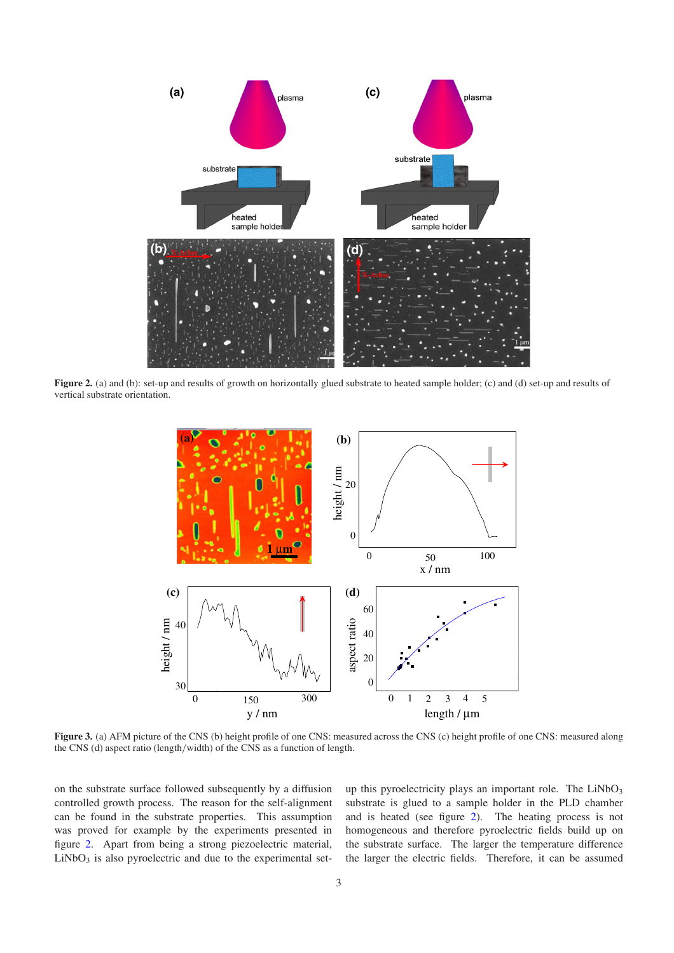<span id="page-2-0"></span>

<span id="page-2-1"></span>**Figure 2.** (a) and (b): set-up and results of growth on horizontally glued substrate to heated sample holder; (c) and (d) set-up and results of vertical substrate orientation.



**Figure 3.** (a) AFM picture of the CNS (b) height profile of one CNS: measured across the CNS (c) height profile of one CNS: measured along the CNS (d) aspect ratio (length/width) of the CNS as a function of length.

on the substrate surface followed subsequently by a diffusion controlled growth process. The reason for the self-alignment can be found in the substrate properties. This assumption was proved for example by the experiments presented in figure [2.](#page-2-0) Apart from being a strong piezoelectric material,  $LiNbO<sub>3</sub>$  is also pyroelectric and due to the experimental setup this pyroelectricity plays an important role. The  $LiNbO<sub>3</sub>$ substrate is glued to a sample holder in the PLD chamber and is heated (see figure [2\)](#page-2-0). The heating process is not homogeneous and therefore pyroelectric fields build up on the substrate surface. The larger the temperature difference the larger the electric fields. Therefore, it can be assumed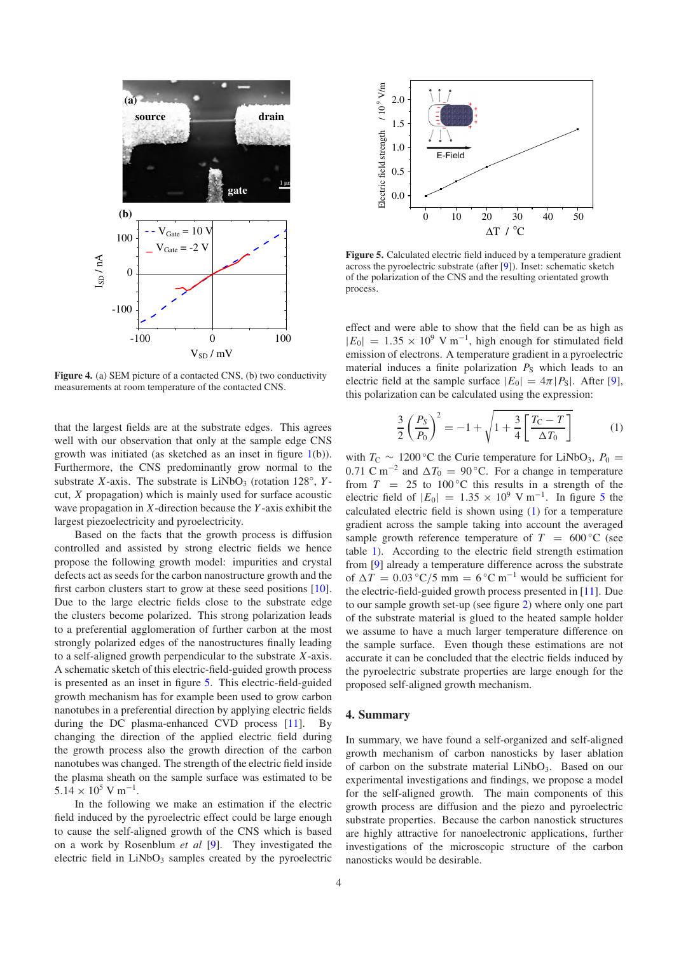<span id="page-3-0"></span>

**Figure 4.** (a) SEM picture of a contacted CNS, (b) two conductivity measurements at room temperature of the contacted CNS.

that the largest fields are at the substrate edges. This agrees well with our observation that only at the sample edge CNS growth was initiated (as sketched as an inset in figure [1\(](#page-1-0)b)). Furthermore, the CNS predominantly grow normal to the substrate *X*-axis. The substrate is  $LiNbO<sub>3</sub>$  (rotation 128°, *Y*cut, *X* propagation) which is mainly used for surface acoustic wave propagation in *X*-direction because the *Y* -axis exhibit the largest piezoelectricity and pyroelectricity.

Based on the facts that the growth process is diffusion controlled and assisted by strong electric fields we hence propose the following growth model: impurities and crystal defects act as seeds for the carbon nanostructure growth and the first carbon clusters start to grow at these seed positions [\[10\]](#page-4-5). Due to the large electric fields close to the substrate edge the clusters become polarized. This strong polarization leads to a preferential agglomeration of further carbon at the most strongly polarized edges of the nanostructures finally leading to a self-aligned growth perpendicular to the substrate *X*-axis. A schematic sketch of this electric-field-guided growth process is presented as an inset in figure [5.](#page-3-1) This electric-field-guided growth mechanism has for example been used to grow carbon nanotubes in a preferential direction by applying electric fields during the DC plasma-enhanced CVD process [\[11\]](#page-4-6). By changing the direction of the applied electric field during the growth process also the growth direction of the carbon nanotubes was changed. The strength of the electric field inside the plasma sheath on the sample surface was estimated to be  $5.14 \times 10^5$  V m<sup>-1</sup>.

In the following we make an estimation if the electric field induced by the pyroelectric effect could be large enough to cause the self-aligned growth of the CNS which is based on a work by Rosenblum *et al* [\[9\]](#page-4-7). They investigated the electric field in  $LiNbO<sub>3</sub>$  samples created by the pyroelectric

<span id="page-3-1"></span>

**Figure 5.** Calculated electric field induced by a temperature gradient across the pyroelectric substrate (after [\[9\]](#page-4-7)). Inset: schematic sketch of the polarization of the CNS and the resulting orientated growth process.

<span id="page-3-2"></span>effect and were able to show that the field can be as high as  $|E_0| = 1.35 \times 10^9$  V m<sup>-1</sup>, high enough for stimulated field emission of electrons. A temperature gradient in a pyroelectric material induces a finite polarization  $P<sub>S</sub>$  which leads to an electric field at the sample surface  $|E_0| = 4\pi |P_{\rm S}|$ . After [\[9\]](#page-4-7), this polarization can be calculated using the expression:

$$
\frac{3}{2} \left( \frac{P_S}{P_0} \right)^2 = -1 + \sqrt{1 + \frac{3}{4} \left[ \frac{T_C - T}{\Delta T_0} \right]}
$$
(1)

with  $T_{\rm C} \sim 1200$  °C the Curie temperature for LiNbO<sub>3</sub>,  $P_0 =$ 0.71 C m<sup>-2</sup> and  $\Delta T_0 = 90$  °C. For a change in temperature from  $T = 25$  to 100 $^{\circ}$ C this results in a strength of the electric field of  $|E_0| = 1.35 \times 10^9$  $|E_0| = 1.35 \times 10^9$  $|E_0| = 1.35 \times 10^9$  V m<sup>-1</sup>. In figure 5 the calculated electric field is shown using [\(1\)](#page-3-2) for a temperature gradient across the sample taking into account the averaged sample growth reference temperature of  $T = 600 \degree C$  (see table [1\)](#page-0-0). According to the electric field strength estimation from [\[9\]](#page-4-7) already a temperature difference across the substrate of  $\Delta T = 0.03 \degree \text{C}/5 \text{ mm} = 6 \degree \text{C} \text{ m}^{-1}$  would be sufficient for the electric-field-guided growth process presented in [\[11\]](#page-4-6). Due to our sample growth set-up (see figure [2\)](#page-2-0) where only one part of the substrate material is glued to the heated sample holder we assume to have a much larger temperature difference on the sample surface. Even though these estimations are not accurate it can be concluded that the electric fields induced by the pyroelectric substrate properties are large enough for the proposed self-aligned growth mechanism.

#### **4. Summary**

In summary, we have found a self-organized and self-aligned growth mechanism of carbon nanosticks by laser ablation of carbon on the substrate material LiNbO<sub>3</sub>. Based on our experimental investigations and findings, we propose a model for the self-aligned growth. The main components of this growth process are diffusion and the piezo and pyroelectric substrate properties. Because the carbon nanostick structures are highly attractive for nanoelectronic applications, further investigations of the microscopic structure of the carbon nanosticks would be desirable.